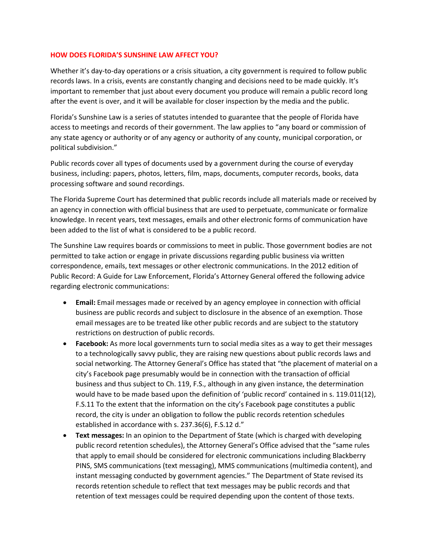## **HOW DOES FLORIDA'S SUNSHINE LAW AFFECT YOU?**

Whether it's day-to-day operations or a crisis situation, a city government is required to follow public records laws. In a crisis, events are constantly changing and decisions need to be made quickly. It's important to remember that just about every document you produce will remain a public record long after the event is over, and it will be available for closer inspection by the media and the public.

Florida's Sunshine Law is a series of statutes intended to guarantee that the people of Florida have access to meetings and records of their government. The law applies to "any board or commission of any state agency or authority or of any agency or authority of any county, municipal corporation, or political subdivision."

Public records cover all types of documents used by a government during the course of everyday business, including: papers, photos, letters, film, maps, documents, computer records, books, data processing software and sound recordings.

The Florida Supreme Court has determined that public records include all materials made or received by an agency in connection with official business that are used to perpetuate, communicate or formalize knowledge. In recent years, text messages, emails and other electronic forms of communication have been added to the list of what is considered to be a public record.

The Sunshine Law requires boards or commissions to meet in public. Those government bodies are not permitted to take action or engage in private discussions regarding public business via written correspondence, emails, text messages or other electronic communications. In the 2012 edition of Public Record: A Guide for Law Enforcement, Florida's Attorney General offered the following advice regarding electronic communications:

- **Email:** Email messages made or received by an agency employee in connection with official business are public records and subject to disclosure in the absence of an exemption. Those email messages are to be treated like other public records and are subject to the statutory restrictions on destruction of public records.
- **Facebook:** As more local governments turn to social media sites as a way to get their messages to a technologically savvy public, they are raising new questions about public records laws and social networking. The Attorney General's Office has stated that "the placement of material on a city's Facebook page presumably would be in connection with the transaction of official business and thus subject to Ch. 119, F.S., although in any given instance, the determination would have to be made based upon the definition of 'public record' contained in s. 119.011(12), F.S.11 To the extent that the information on the city's Facebook page constitutes a public record, the city is under an obligation to follow the public records retention schedules established in accordance with s. 237.36(6), F.S.12 d."
- **Text messages:** In an opinion to the Department of State (which is charged with developing public record retention schedules), the Attorney General's Office advised that the "same rules that apply to email should be considered for electronic communications including Blackberry PINS, SMS communications (text messaging), MMS communications (multimedia content), and instant messaging conducted by government agencies." The Department of State revised its records retention schedule to reflect that text messages may be public records and that retention of text messages could be required depending upon the content of those texts.